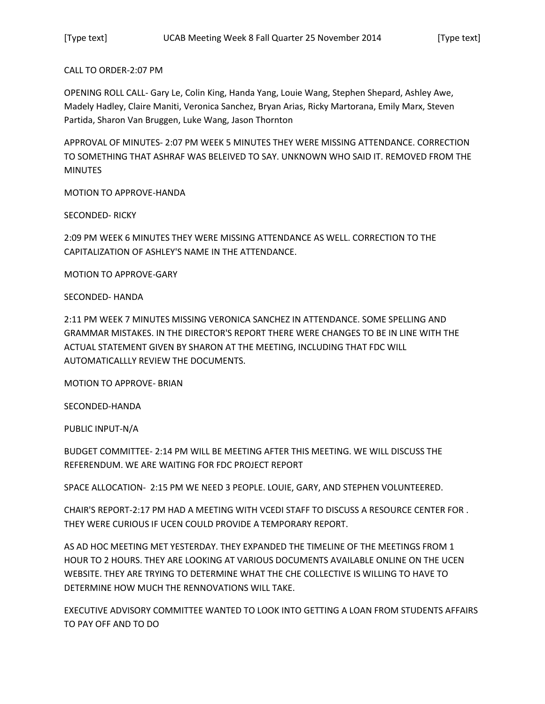CALL TO ORDER-2:07 PM

OPENING ROLL CALL- Gary Le, Colin King, Handa Yang, Louie Wang, Stephen Shepard, Ashley Awe, Madely Hadley, Claire Maniti, Veronica Sanchez, Bryan Arias, Ricky Martorana, Emily Marx, Steven Partida, Sharon Van Bruggen, Luke Wang, Jason Thornton

APPROVAL OF MINUTES- 2:07 PM WEEK 5 MINUTES THEY WERE MISSING ATTENDANCE. CORRECTION TO SOMETHING THAT ASHRAF WAS BELEIVED TO SAY. UNKNOWN WHO SAID IT. REMOVED FROM THE **MINUTES** 

MOTION TO APPROVE-HANDA

SECONDED- RICKY

2:09 PM WEEK 6 MINUTES THEY WERE MISSING ATTENDANCE AS WELL. CORRECTION TO THE CAPITALIZATION OF ASHLEY'S NAME IN THE ATTENDANCE.

MOTION TO APPROVE-GARY

SECONDED- HANDA

2:11 PM WEEK 7 MINUTES MISSING VERONICA SANCHEZ IN ATTENDANCE. SOME SPELLING AND GRAMMAR MISTAKES. IN THE DIRECTOR'S REPORT THERE WERE CHANGES TO BE IN LINE WITH THE ACTUAL STATEMENT GIVEN BY SHARON AT THE MEETING, INCLUDING THAT FDC WILL AUTOMATICALLLY REVIEW THE DOCUMENTS.

MOTION TO APPROVE- BRIAN

SECONDED-HANDA

PUBLIC INPUT-N/A

BUDGET COMMITTEE- 2:14 PM WILL BE MEETING AFTER THIS MEETING. WE WILL DISCUSS THE REFERENDUM. WE ARE WAITING FOR FDC PROJECT REPORT

SPACE ALLOCATION- 2:15 PM WE NEED 3 PEOPLE. LOUIE, GARY, AND STEPHEN VOLUNTEERED.

CHAIR'S REPORT-2:17 PM HAD A MEETING WITH VCEDI STAFF TO DISCUSS A RESOURCE CENTER FOR . THEY WERE CURIOUS IF UCEN COULD PROVIDE A TEMPORARY REPORT.

AS AD HOC MEETING MET YESTERDAY. THEY EXPANDED THE TIMELINE OF THE MEETINGS FROM 1 HOUR TO 2 HOURS. THEY ARE LOOKING AT VARIOUS DOCUMENTS AVAILABLE ONLINE ON THE UCEN WEBSITE. THEY ARE TRYING TO DETERMINE WHAT THE CHE COLLECTIVE IS WILLING TO HAVE TO DETERMINE HOW MUCH THE RENNOVATIONS WILL TAKE.

EXECUTIVE ADVISORY COMMITTEE WANTED TO LOOK INTO GETTING A LOAN FROM STUDENTS AFFAIRS TO PAY OFF AND TO DO